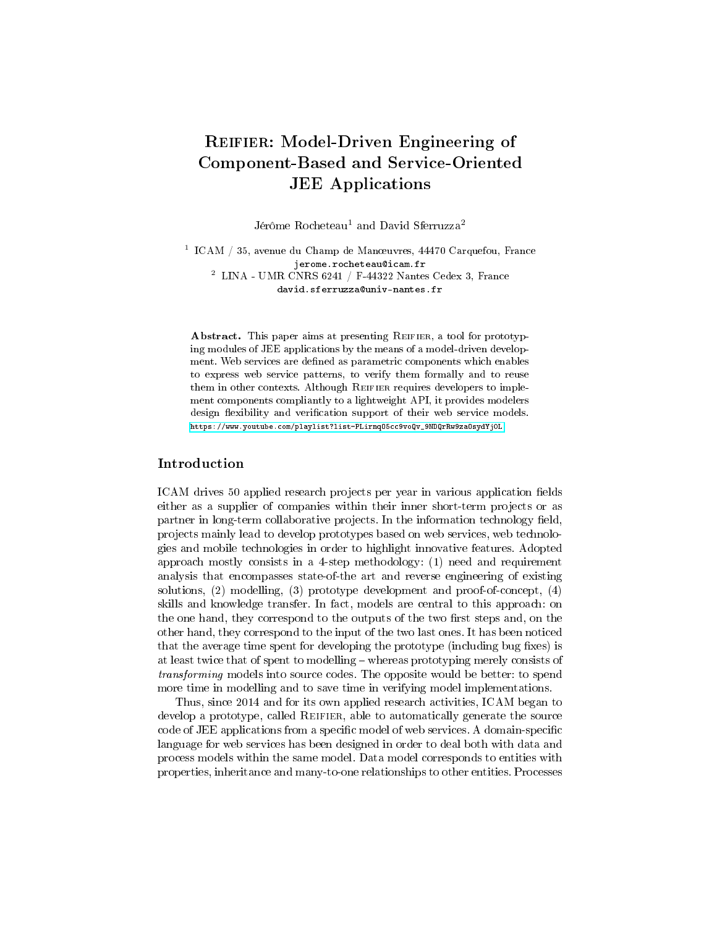# REIFIER: Model-Driven Engineering of Component-Based and Service-Oriented JEE Applications

Jérôme Rocheteau<sup>1</sup> and David Sferruzza<sup>2</sup>

 $^1$  ICAM  $/$  35, avenue du Champ de Manœuvres, 44470 Carquefou, France jerome.rocheteau@icam.fr  $^2$  LINA - UMR CNRS 6241 / F-44322 Nantes Cedex 3, France david.sferruzza@univ-nantes.fr

Abstract. This paper aims at presenting REIFIER, a tool for prototyping modules of JEE applications by the means of a model-driven development. Web services are defined as parametric components which enables to express web service patterns, to verify them formally and to reuse them in other contexts. Although REIFIER requires developers to implement components compliantly to a lightweight API, it provides modelers design flexibility and verification support of their web service models. [https://www.youtube.com/playlist?list=PLirnqO5cc9voQv\\_9NDQrRw9zaOsydYj0L](https://www.youtube.com/playlist?list=PLirnqO5cc9voQv_9NDQrRw9zaOsydYj0L)

## Introduction

ICAM drives 50 applied research projects per year in various application fields either as a supplier of companies within their inner short-term projects or as partner in long-term collaborative projects. In the information technology field, projects mainly lead to develop prototypes based on web services, web technologies and mobile technologies in order to highlight innovative features. Adopted approach mostly consists in a 4-step methodology: (1) need and requirement analysis that encompasses state-of-the art and reverse engineering of existing solutions, (2) modelling, (3) prototype development and proof-of-concept, (4) skills and knowledge transfer. In fact, models are central to this approach: on the one hand, they correspond to the outputs of the two first steps and, on the other hand, they correspond to the input of the two last ones. It has been noticed that the average time spent for developing the prototype (including bug fixes) is at least twice that of spent to modelling whereas prototyping merely consists of transforming models into source codes. The opposite would be better: to spend more time in modelling and to save time in verifying model implementations.

Thus, since 2014 and for its own applied research activities, ICAM began to develop a prototype, called Reifier, able to automatically generate the source code of JEE applications from a specific model of web services. A domain-specific language for web services has been designed in order to deal both with data and process models within the same model. Data model corresponds to entities with properties, inheritance and many-to-one relationships to other entities. Processes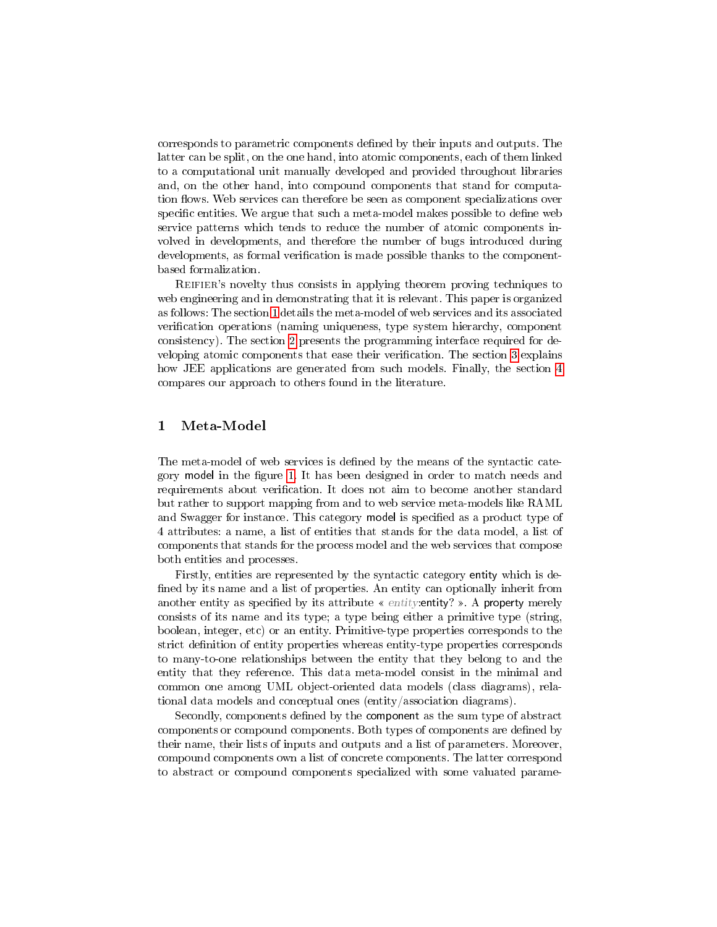corresponds to parametric components dened by their inputs and outputs. The latter can be split, on the one hand, into atomic components, each of them linked to a computational unit manually developed and provided throughout libraries and, on the other hand, into compound components that stand for computation flows. Web services can therefore be seen as component specializations over specific entities. We argue that such a meta-model makes possible to define web service patterns which tends to reduce the number of atomic components involved in developments, and therefore the number of bugs introduced during developments, as formal verification is made possible thanks to the componentbased formalization.

Reifier's novelty thus consists in applying theorem proving techniques to web engineering and in demonstrating that it is relevant. This paper is organized as follows: The section [1](#page-1-0) details the meta-model of web services and its associated verification operations (naming uniqueness, type system hierarchy, component consistency). The section [2](#page-3-0) presents the programming interface required for de-veloping atomic components that ease their verification. The section [3](#page-4-0) explains how JEE applications are generated from such models. Finally, the section [4](#page-5-0) compares our approach to others found in the literature.

### <span id="page-1-0"></span>1 Meta-Model

The meta-model of web services is defined by the means of the syntactic cate-gory model in the figure [1.](#page-2-0) It has been designed in order to match needs and requirements about verification. It does not aim to become another standard but rather to support mapping from and to web service meta-models like RAML and Swagger for instance. This category model is specified as a product type of 4 attributes: a name, a list of entities that stands for the data model, a list of components that stands for the process model and the web services that compose both entities and processes.

Firstly, entities are represented by the syntactic category entity which is de fined by its name and a list of properties. An entity can optionally inherit from another entity as specified by its attribute  $\ll$  entity: entity? ». A property merely consists of its name and its type; a type being either a primitive type (string, boolean, integer, etc) or an entity. Primitive-type properties corresponds to the strict definition of entity properties whereas entity-type properties corresponds to many-to-one relationships between the entity that they belong to and the entity that they reference. This data meta-model consist in the minimal and common one among UML object-oriented data models (class diagrams), relational data models and conceptual ones (entity/association diagrams).

Secondly, components defined by the component as the sum type of abstract components or compound components. Both types of components are defined by their name, their lists of inputs and outputs and a list of parameters. Moreover, compound components own a list of concrete components. The latter correspond to abstract or compound components specialized with some valuated parame-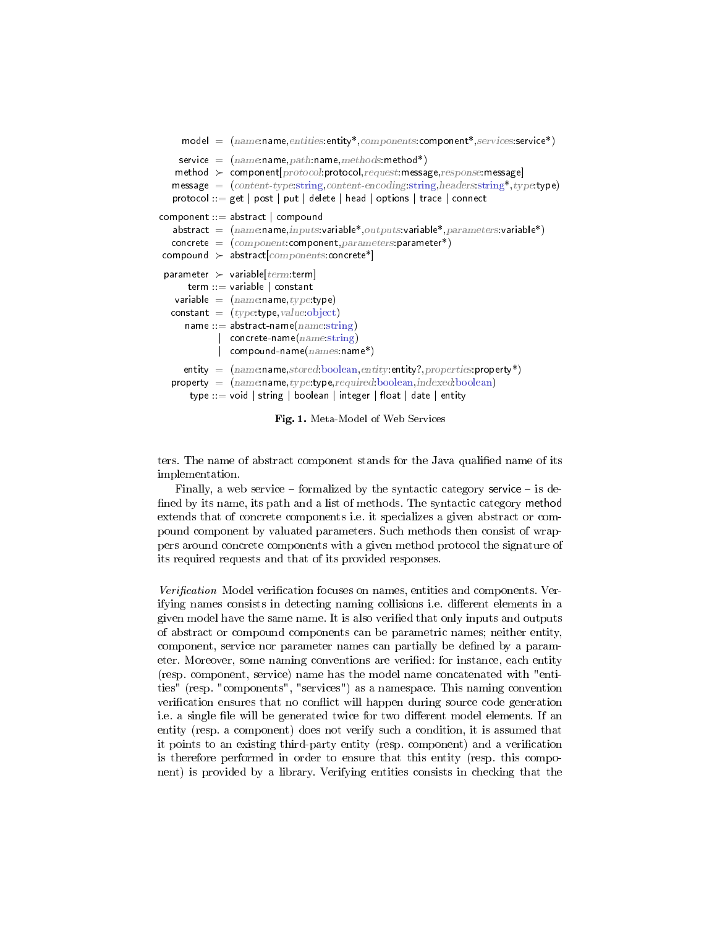```
model = (name.name, entities:entity*, components: components, service, service*)service = (name:name,path:name,method's)method \succ component[protocol:protocol, request:message, response:message]message = (content-type string, content-encodeing string, headers string*, type, type)protocol ::= get | post | put | delete | head | options | trace | connect
component \cdot := abstract | compound
   abstract = (name:name, inputs:variable*, outputs:variable*, parameters:variable*)concrete = (component:component, parameters:parameter*)compound \succ abstract [component:connect]^*parameter \succ variable [term:term]
      term ::= variable | constant
   variable = (name.name, type, type)constant = (type:\text{type}, value:\text{object})name  ::= abstract-name(name:string)
            | concrete-name(name:string)
            | compound-name(names:name*)entity = (name, stored, boolean, entity, entries, property*)property = (name:name, type:type, required: boolean, indexed: boolean)
      type ::= void | string | boolean | integer | float | date | entity
```
<span id="page-2-0"></span>Fig. 1. Meta-Model of Web Services

ters. The name of abstract component stands for the Java qualified name of its implementation.

Finally, a web service  $-$  formalized by the syntactic category service  $-$  is defined by its name, its path and a list of methods. The syntactic category method extends that of concrete components i.e. it specializes a given abstract or compound component by valuated parameters. Such methods then consist of wrappers around concrete components with a given method protocol the signature of its required requests and that of its provided responses.

Verification Model verification focuses on names, entities and components. Verifying names consists in detecting naming collisions i.e. different elements in a given model have the same name. It is also verified that only inputs and outputs of abstract or compound components can be parametric names; neither entity, component, service nor parameter names can partially be defined by a parameter. Moreover, some naming conventions are verified: for instance, each entity (resp. component, service) name has the model name concatenated with "entities" (resp. "components", "services") as a namespace. This naming convention verification ensures that no conflict will happen during source code generation i.e. a single file will be generated twice for two different model elements. If an entity (resp. a component) does not verify such a condition, it is assumed that it points to an existing third-party entity (resp. component) and a verication is therefore performed in order to ensure that this entity (resp. this component) is provided by a library. Verifying entities consists in checking that the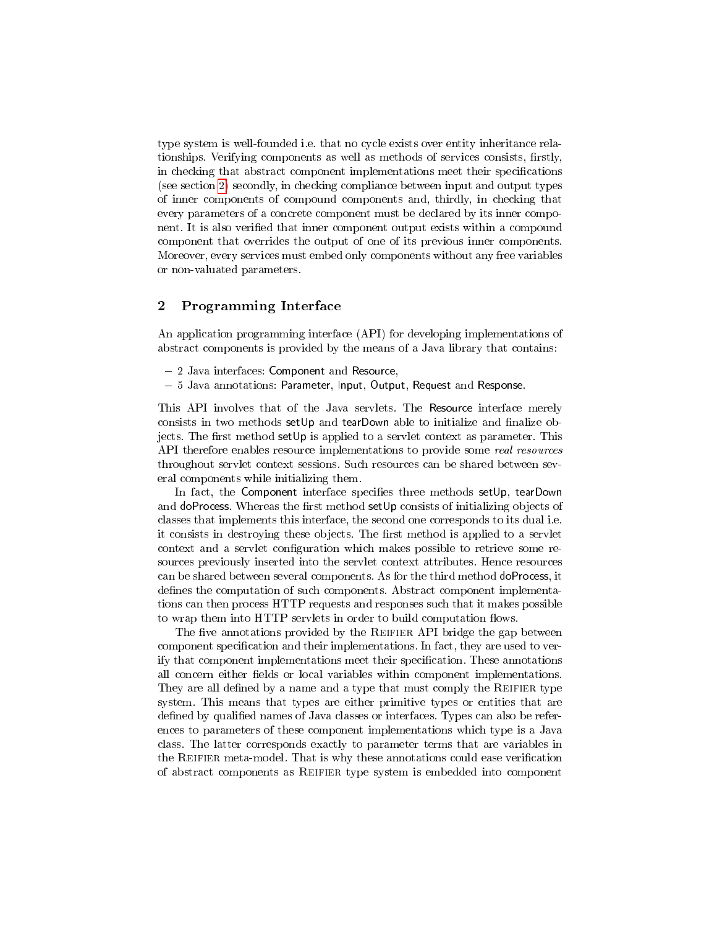type system is well-founded i.e. that no cycle exists over entity inheritance relationships. Verifying components as well as methods of services consists, firstly, in checking that abstract component implementations meet their specifications (see section [2\)](#page-3-0) secondly, in checking compliance between input and output types of inner components of compound components and, thirdly, in checking that every parameters of a concrete component must be declared by its inner component. It is also verified that inner component output exists within a compound component that overrides the output of one of its previous inner components. Moreover, every services must embed only components without any free variables or non-valuated parameters.

#### <span id="page-3-0"></span>2 Programming Interface  $\overline{2}$

An application programming interface (API) for developing implementations of abstract components is provided by the means of a Java library that contains:

- 2 Java interfaces: Component and Resource,
- 5 Java annotations: Parameter, Input, Output, Request and Response.

This API involves that of the Java servlets. The Resource interface merely consists in two methods set  $Up$  and tearDown able to initialize and finalize objects. The first method setUp is applied to a servlet context as parameter. This API therefore enables resource implementations to provide some real resources throughout servlet context sessions. Such resources can be shared between several components while initializing them.

In fact, the Component interface specifies three methods setUp, tearDown and doProcess. Whereas the first method setUp consists of initializing objects of classes that implements this interface, the second one corresponds to its dual i.e. it consists in destroying these objects. The first method is applied to a servlet context and a servlet configuration which makes possible to retrieve some resources previously inserted into the servlet context attributes. Hence resources can be shared between several components. As for the third method doProcess, it defines the computation of such components. Abstract component implementations can then process HTTP requests and responses such that it makes possible to wrap them into HTTP servlets in order to build computation flows.

The five annotations provided by the REIFIER API bridge the gap between component specification and their implementations. In fact, they are used to verify that component implementations meet their specification. These annotations all concern either fields or local variables within component implementations. They are all defined by a name and a type that must comply the REIFIER type system. This means that types are either primitive types or entities that are defined by qualified names of Java classes or interfaces. Types can also be references to parameters of these component implementations which type is a Java class. The latter corresponds exactly to parameter terms that are variables in the REIFIER meta-model. That is why these annotations could ease verification of abstract components as Reifier type system is embedded into component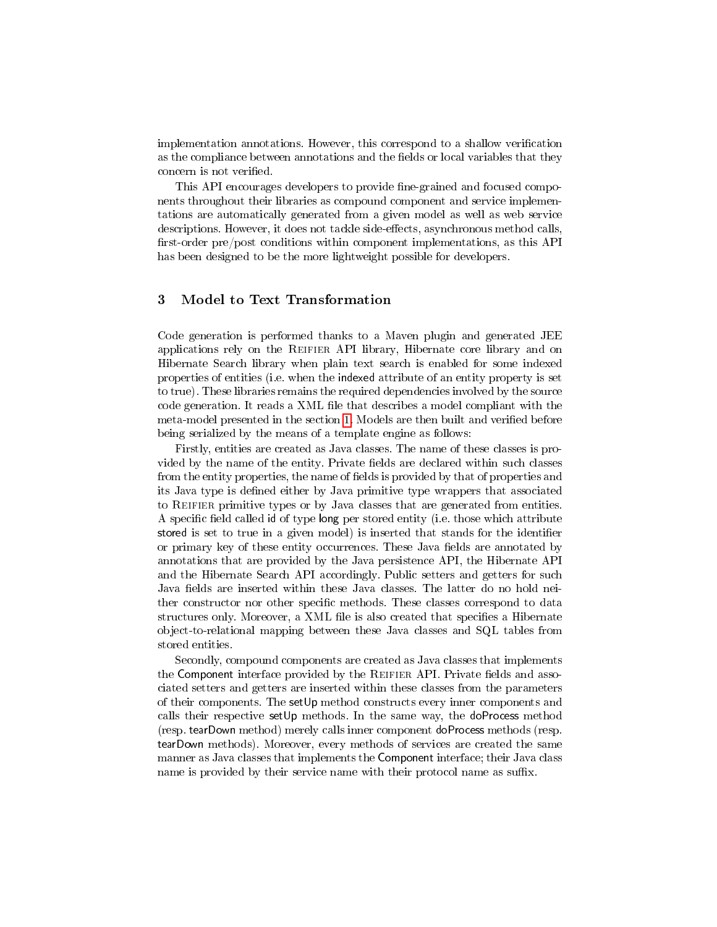implementation annotations. However, this correspond to a shallow verication as the compliance between annotations and the fields or local variables that they concern is not verified.

This API encourages developers to provide fine-grained and focused components throughout their libraries as compound component and service implementations are automatically generated from a given model as well as web service descriptions. However, it does not tackle side-effects, asynchronous method calls, first-order pre/post conditions within component implementations, as this API has been designed to be the more lightweight possible for developers.

#### <span id="page-4-0"></span>3 Model to Text Transformation

Code generation is performed thanks to a Maven plugin and generated JEE applications rely on the Reifier API library, Hibernate core library and on Hibernate Search library when plain text search is enabled for some indexed properties of entities (i.e. when the indexed attribute of an entity property is set to true). These libraries remains the required dependencies involved by the source code generation. It reads a XML file that describes a model compliant with the meta-model presented in the section [1.](#page-1-0) Models are then built and verified before being serialized by the means of a template engine as follows:

Firstly, entities are created as Java classes. The name of these classes is provided by the name of the entity. Private fields are declared within such classes from the entity properties, the name of fields is provided by that of properties and its Java type is defined either by Java primitive type wrappers that associated to Reifier primitive types or by Java classes that are generated from entities. A specific field called id of type long per stored entity (i.e. those which attribute stored is set to true in a given model) is inserted that stands for the identifier or primary key of these entity occurrences. These Java fields are annotated by annotations that are provided by the Java persistence API, the Hibernate API and the Hibernate Search API accordingly. Public setters and getters for such Java fields are inserted within these Java classes. The latter do no hold neither constructor nor other specific methods. These classes correspond to data structures only. Moreover, a XML file is also created that specifies a Hibernate object-to-relational mapping between these Java classes and SQL tables from stored entities.

Secondly, compound components are created as Java classes that implements the Component interface provided by the REIFIER API. Private fields and associated setters and getters are inserted within these classes from the parameters of their components. The setUp method constructs every inner components and calls their respective setUp methods. In the same way, the doProcess method (resp. tearDown method) merely calls inner component doProcess methods (resp. tearDown methods). Moreover, every methods of services are created the same manner as Java classes that implements the Component interface; their Java class name is provided by their service name with their protocol name as suffix.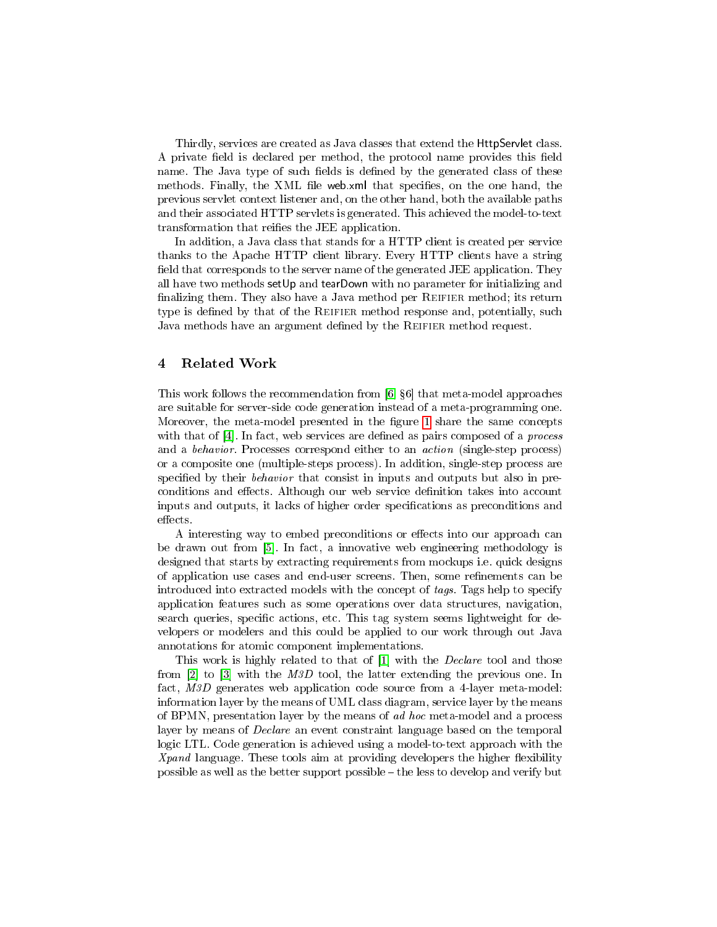Thirdly, services are created as Java classes that extend the HttpServlet class. A private field is declared per method, the protocol name provides this field name. The Java type of such fields is defined by the generated class of these methods. Finally, the XML file web.xml that specifies, on the one hand, the previous servlet context listener and, on the other hand, both the available paths and their associated HTTP servlets is generated. This achieved the model-to-text transformation that reifies the JEE application.

In addition, a Java class that stands for a HTTP client is created per service thanks to the Apache HTTP client library. Every HTTP clients have a string field that corresponds to the server name of the generated JEE application. They all have two methods setUp and tearDown with no parameter for initializing and finalizing them. They also have a Java method per REIFIER method; its return type is defined by that of the REIFIER method response and, potentially, such Java methods have an argument defined by the REIFIER method request.

### <span id="page-5-0"></span>4 Related Work

This work follows the recommendation from [\[6,](#page-6-0)  $\S6$ ] that meta-model approaches are suitable for server-side code generation instead of a meta-programming one. Moreover, the meta-model presented in the figure [1](#page-2-0) share the same concepts with that of  $[4]$ . In fact, web services are defined as pairs composed of a *process* and a behavior. Processes correspond either to an action (single-step process) or a composite one (multiple-steps process). In addition, single-step process are specified by their behavior that consist in inputs and outputs but also in preconditions and effects. Although our web service definition takes into account inputs and outputs, it lacks of higher order specifications as preconditions and effects.

A interesting way to embed preconditions or effects into our approach can be drawn out from [\[5\]](#page-6-2). In fact, a innovative web engineering methodology is designed that starts by extracting requirements from mockups i.e. quick designs of application use cases and end-user screens. Then, some refinements can be introduced into extracted models with the concept of tags. Tags help to specify application features such as some operations over data structures, navigation, search queries, specific actions, etc. This tag system seems lightweight for developers or modelers and this could be applied to our work through out Java annotations for atomic component implementations.

This work is highly related to that of [\[1\]](#page-6-3) with the *Declare* tool and those from [\[2\]](#page-6-4) to [\[3\]](#page-6-5) with the M3D tool, the latter extending the previous one. In fact, M3D generates web application code source from a 4-layer meta-model: information layer by the means of UML class diagram, service layer by the means of BPMN, presentation layer by the means of ad hoc meta-model and a process layer by means of Declare an event constraint language based on the temporal logic LTL. Code generation is achieved using a model-to-text approach with the  $Xpand$  language. These tools aim at providing developers the higher flexibility possible as well as the better support possible  $-\text{ the less to develop and verify but}$